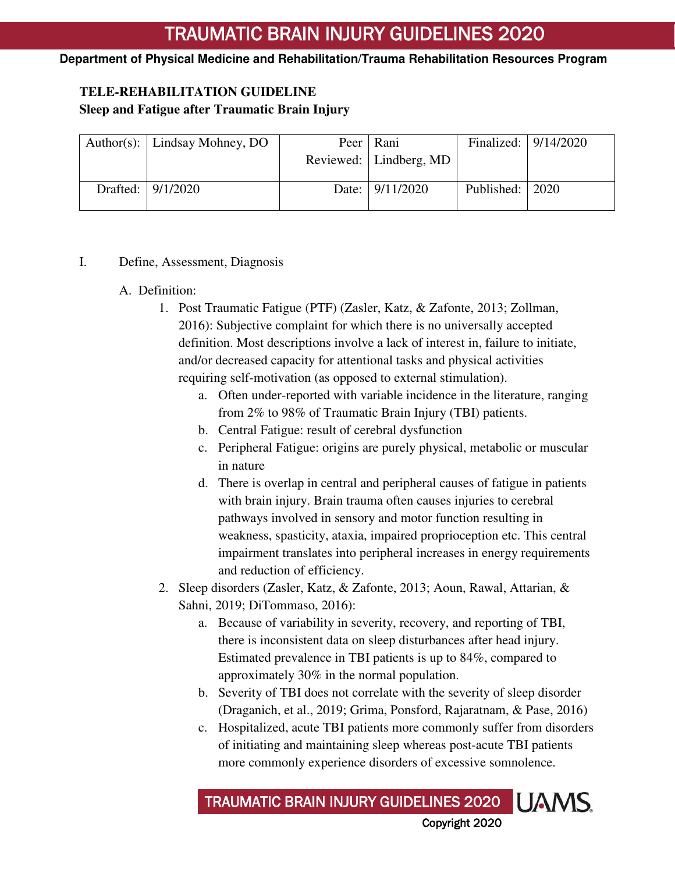### **Department of Physical Medicine and Rehabilitation/Trauma Rehabilitation Resources Program**

# **TELE-REHABILITATION GUIDELINE**

### **Sleep and Fatigue after Traumatic Brain Injury**

| Author(s): $\vert$ Lindsay Mohney, DO | Peer   Rani              |                   | Finalized:   9/14/2020 |
|---------------------------------------|--------------------------|-------------------|------------------------|
|                                       | Reviewed:   Lindberg, MD |                   |                        |
| Drafted: 9/1/2020                     | Date: 9/11/2020          | Published:   2020 |                        |
|                                       |                          |                   |                        |

### I. Define, Assessment, Diagnosis

## A. Definition:

- 1. Post Traumatic Fatigue (PTF) (Zasler, Katz, & Zafonte, 2013; Zollman, 2016): Subjective complaint for which there is no universally accepted definition. Most descriptions involve a lack of interest in, failure to initiate, and/or decreased capacity for attentional tasks and physical activities requiring self-motivation (as opposed to external stimulation).
	- a. Often under-reported with variable incidence in the literature, ranging from 2% to 98% of Traumatic Brain Injury (TBI) patients.
	- b. Central Fatigue: result of cerebral dysfunction
	- c. Peripheral Fatigue: origins are purely physical, metabolic or muscular in nature
	- d. There is overlap in central and peripheral causes of fatigue in patients with brain injury. Brain trauma often causes injuries to cerebral pathways involved in sensory and motor function resulting in weakness, spasticity, ataxia, impaired proprioception etc. This central impairment translates into peripheral increases in energy requirements and reduction of efficiency.
- 2. Sleep disorders (Zasler, Katz, & Zafonte, 2013; Aoun, Rawal, Attarian, & Sahni, 2019; DiTommaso, 2016):
	- a. Because of variability in severity, recovery, and reporting of TBI, there is inconsistent data on sleep disturbances after head injury. Estimated prevalence in TBI patients is up to 84%, compared to approximately 30% in the normal population.
	- b. Severity of TBI does not correlate with the severity of sleep disorder (Draganich, et al., 2019; Grima, Ponsford, Rajaratnam, & Pase, 2016)
	- c. Hospitalized, acute TBI patients more commonly suffer from disorders of initiating and maintaining sleep whereas post-acute TBI patients more commonly experience disorders of excessive somnolence.

**UAMS** TRAUMATIC BRAIN INJURY GUIDELINES 2020 Copyright 2020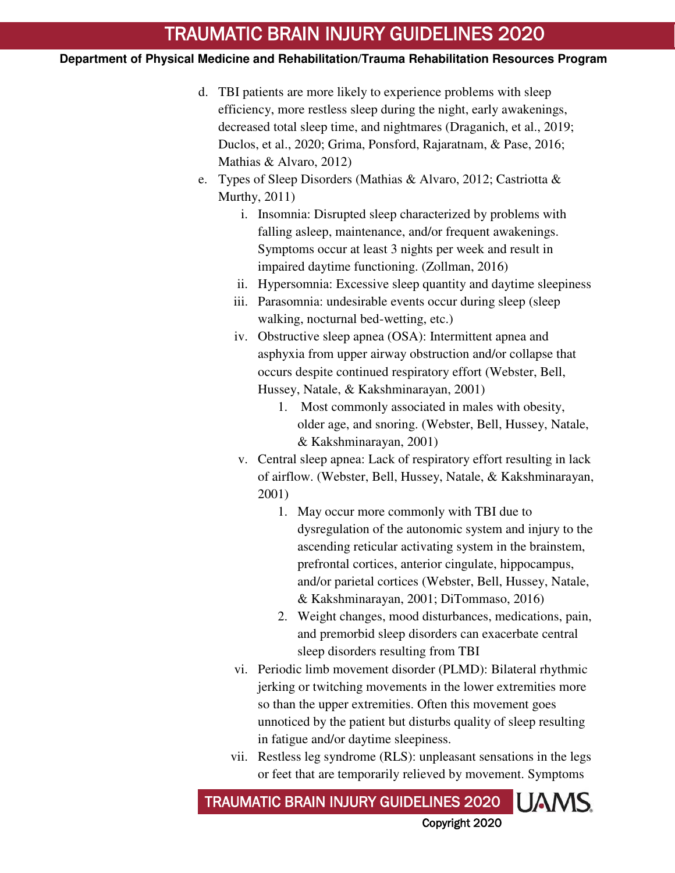## **Department of Physical Medicine and Rehabilitation/Trauma Rehabilitation Resources Program**

- d. TBI patients are more likely to experience problems with sleep efficiency, more restless sleep during the night, early awakenings, decreased total sleep time, and nightmares (Draganich, et al., 2019; Duclos, et al., 2020; Grima, Ponsford, Rajaratnam, & Pase, 2016; Mathias & Alvaro, 2012)
- e. Types of Sleep Disorders (Mathias & Alvaro, 2012; Castriotta & Murthy, 2011)
	- i. Insomnia: Disrupted sleep characterized by problems with falling asleep, maintenance, and/or frequent awakenings. Symptoms occur at least 3 nights per week and result in impaired daytime functioning. (Zollman, 2016)
	- ii. Hypersomnia: Excessive sleep quantity and daytime sleepiness
	- iii. Parasomnia: undesirable events occur during sleep (sleep walking, nocturnal bed-wetting, etc.)
	- iv. Obstructive sleep apnea (OSA): Intermittent apnea and asphyxia from upper airway obstruction and/or collapse that occurs despite continued respiratory effort (Webster, Bell, Hussey, Natale, & Kakshminarayan, 2001)
		- 1. Most commonly associated in males with obesity, older age, and snoring. (Webster, Bell, Hussey, Natale, & Kakshminarayan, 2001)
	- v. Central sleep apnea: Lack of respiratory effort resulting in lack of airflow. (Webster, Bell, Hussey, Natale, & Kakshminarayan, 2001)
		- 1. May occur more commonly with TBI due to dysregulation of the autonomic system and injury to the ascending reticular activating system in the brainstem, prefrontal cortices, anterior cingulate, hippocampus, and/or parietal cortices (Webster, Bell, Hussey, Natale, & Kakshminarayan, 2001; DiTommaso, 2016)
		- 2. Weight changes, mood disturbances, medications, pain, and premorbid sleep disorders can exacerbate central sleep disorders resulting from TBI
	- vi. Periodic limb movement disorder (PLMD): Bilateral rhythmic jerking or twitching movements in the lower extremities more so than the upper extremities. Often this movement goes unnoticed by the patient but disturbs quality of sleep resulting in fatigue and/or daytime sleepiness.
	- vii. Restless leg syndrome (RLS): unpleasant sensations in the legs or feet that are temporarily relieved by movement. Symptoms

TRAUMATIC BRAIN INJURY GUIDELINES 2020 UAMS Copyright 2020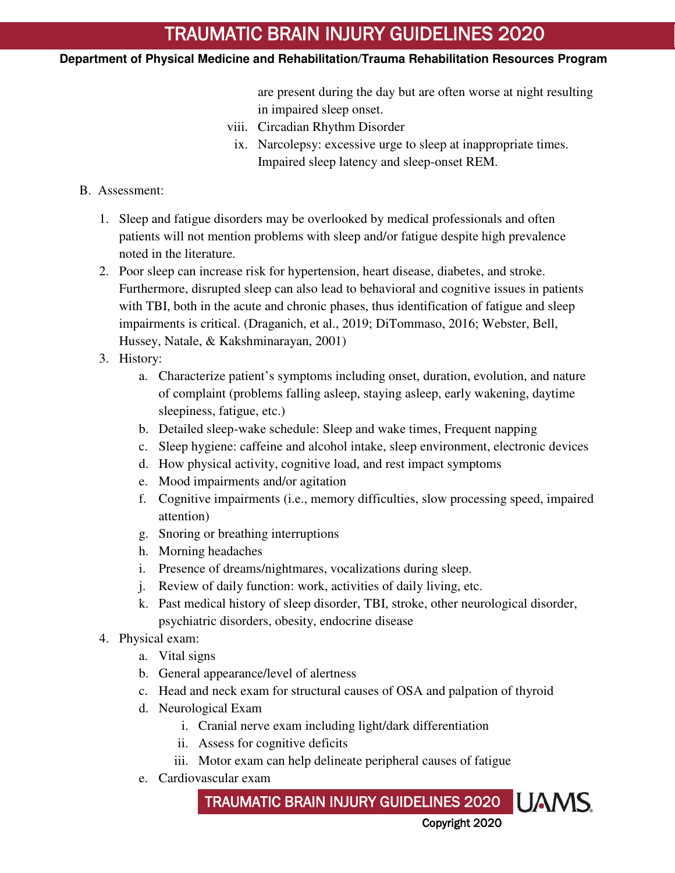### **Department of Physical Medicine and Rehabilitation/Trauma Rehabilitation Resources Program**

are present during the day but are often worse at night resulting in impaired sleep onset.

- viii. Circadian Rhythm Disorder
- ix. Narcolepsy: excessive urge to sleep at inappropriate times. Impaired sleep latency and sleep-onset REM.
- B. Assessment:
	- 1. Sleep and fatigue disorders may be overlooked by medical professionals and often patients will not mention problems with sleep and/or fatigue despite high prevalence noted in the literature.
	- 2. Poor sleep can increase risk for hypertension, heart disease, diabetes, and stroke. Furthermore, disrupted sleep can also lead to behavioral and cognitive issues in patients with TBI, both in the acute and chronic phases, thus identification of fatigue and sleep impairments is critical. (Draganich, et al., 2019; DiTommaso, 2016; Webster, Bell, Hussey, Natale, & Kakshminarayan, 2001)
	- 3. History:
		- a. Characterize patient's symptoms including onset, duration, evolution, and nature of complaint (problems falling asleep, staying asleep, early wakening, daytime sleepiness, fatigue, etc.)
		- b. Detailed sleep-wake schedule: Sleep and wake times, Frequent napping
		- c. Sleep hygiene: caffeine and alcohol intake, sleep environment, electronic devices
		- d. How physical activity, cognitive load, and rest impact symptoms
		- e. Mood impairments and/or agitation
		- f. Cognitive impairments (i.e., memory difficulties, slow processing speed, impaired attention)
		- g. Snoring or breathing interruptions
		- h. Morning headaches
		- i. Presence of dreams/nightmares, vocalizations during sleep.
		- j. Review of daily function: work, activities of daily living, etc.
		- k. Past medical history of sleep disorder, TBI, stroke, other neurological disorder, psychiatric disorders, obesity, endocrine disease
	- 4. Physical exam:
		- a. Vital signs
		- b. General appearance/level of alertness
		- c. Head and neck exam for structural causes of OSA and palpation of thyroid
		- d. Neurological Exam
			- i. Cranial nerve exam including light/dark differentiation
			- ii. Assess for cognitive deficits
			- iii. Motor exam can help delineate peripheral causes of fatigue
		- e. Cardiovascular exam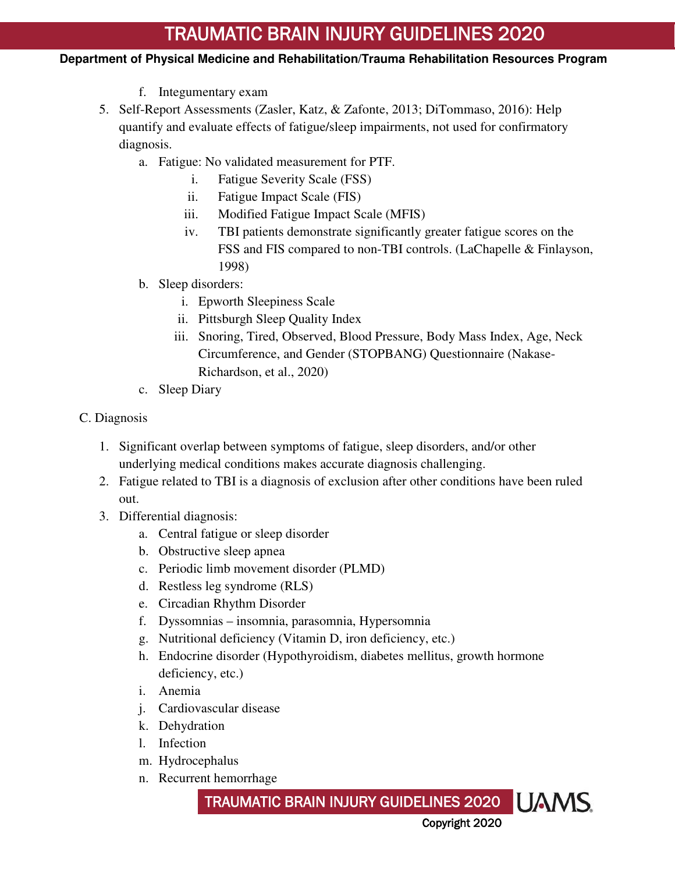- f. Integumentary exam
- 5. Self-Report Assessments (Zasler, Katz, & Zafonte, 2013; DiTommaso, 2016): Help quantify and evaluate effects of fatigue/sleep impairments, not used for confirmatory diagnosis.
	- a. Fatigue: No validated measurement for PTF.
		- i. Fatigue Severity Scale (FSS)
		- ii. Fatigue Impact Scale (FIS)
		- iii. Modified Fatigue Impact Scale (MFIS)
		- iv. TBI patients demonstrate significantly greater fatigue scores on the FSS and FIS compared to non-TBI controls. (LaChapelle & Finlayson, 1998)
	- b. Sleep disorders:
		- i. Epworth Sleepiness Scale
		- ii. Pittsburgh Sleep Quality Index
		- iii. Snoring, Tired, Observed, Blood Pressure, Body Mass Index, Age, Neck Circumference, and Gender (STOPBANG) Questionnaire (Nakase-Richardson, et al., 2020)
	- c. Sleep Diary
- C. Diagnosis
	- 1. Significant overlap between symptoms of fatigue, sleep disorders, and/or other underlying medical conditions makes accurate diagnosis challenging.
	- 2. Fatigue related to TBI is a diagnosis of exclusion after other conditions have been ruled out.
	- 3. Differential diagnosis:
		- a. Central fatigue or sleep disorder
		- b. Obstructive sleep apnea
		- c. Periodic limb movement disorder (PLMD)
		- d. Restless leg syndrome (RLS)
		- e. Circadian Rhythm Disorder
		- f. Dyssomnias insomnia, parasomnia, Hypersomnia
		- g. Nutritional deficiency (Vitamin D, iron deficiency, etc.)
		- h. Endocrine disorder (Hypothyroidism, diabetes mellitus, growth hormone deficiency, etc.)
		- i. Anemia
		- j. Cardiovascular disease
		- k. Dehydration
		- l. Infection
		- m. Hydrocephalus
		- n. Recurrent hemorrhage

TRAUMATIC BRAIN INJURY GUIDELINES 2020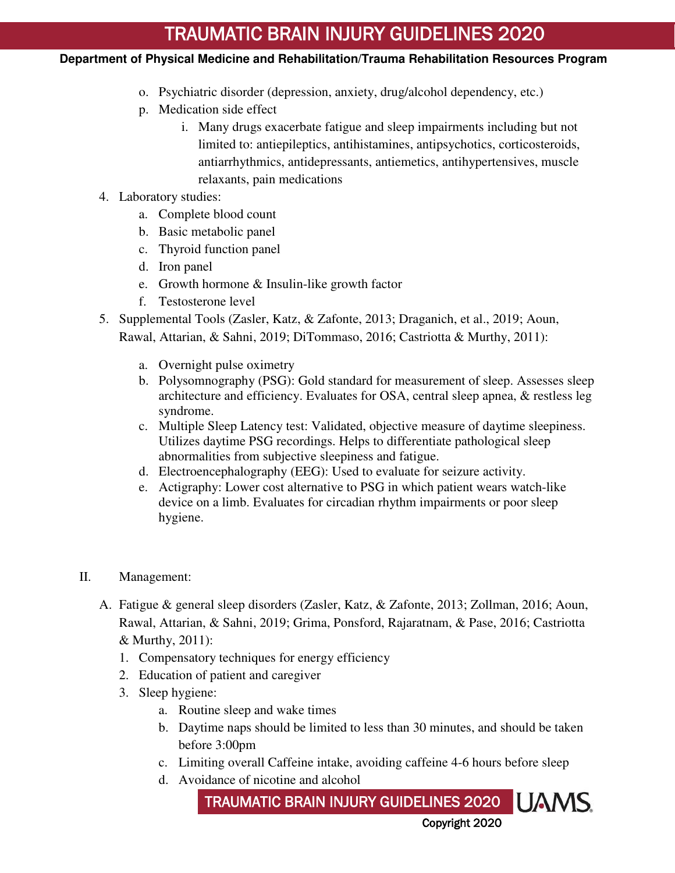- o. Psychiatric disorder (depression, anxiety, drug/alcohol dependency, etc.)
- p. Medication side effect
	- i. Many drugs exacerbate fatigue and sleep impairments including but not limited to: antiepileptics, antihistamines, antipsychotics, corticosteroids, antiarrhythmics, antidepressants, antiemetics, antihypertensives, muscle relaxants, pain medications
- 4. Laboratory studies:
	- a. Complete blood count
	- b. Basic metabolic panel
	- c. Thyroid function panel
	- d. Iron panel
	- e. Growth hormone & Insulin-like growth factor
	- f. Testosterone level
- 5. Supplemental Tools (Zasler, Katz, & Zafonte, 2013; Draganich, et al., 2019; Aoun, Rawal, Attarian, & Sahni, 2019; DiTommaso, 2016; Castriotta & Murthy, 2011):
	- a. Overnight pulse oximetry
	- b. Polysomnography (PSG): Gold standard for measurement of sleep. Assesses sleep architecture and efficiency. Evaluates for OSA, central sleep apnea, & restless leg syndrome.
	- c. Multiple Sleep Latency test: Validated, objective measure of daytime sleepiness. Utilizes daytime PSG recordings. Helps to differentiate pathological sleep abnormalities from subjective sleepiness and fatigue.
	- d. Electroencephalography (EEG): Used to evaluate for seizure activity.
	- e. Actigraphy: Lower cost alternative to PSG in which patient wears watch-like device on a limb. Evaluates for circadian rhythm impairments or poor sleep hygiene.
- II. Management:
	- A. Fatigue & general sleep disorders (Zasler, Katz, & Zafonte, 2013; Zollman, 2016; Aoun, Rawal, Attarian, & Sahni, 2019; Grima, Ponsford, Rajaratnam, & Pase, 2016; Castriotta & Murthy, 2011):
		- 1. Compensatory techniques for energy efficiency
		- 2. Education of patient and caregiver
		- 3. Sleep hygiene:
			- a. Routine sleep and wake times
			- b. Daytime naps should be limited to less than 30 minutes, and should be taken before 3:00pm
			- c. Limiting overall Caffeine intake, avoiding caffeine 4-6 hours before sleep
			- d. Avoidance of nicotine and alcohol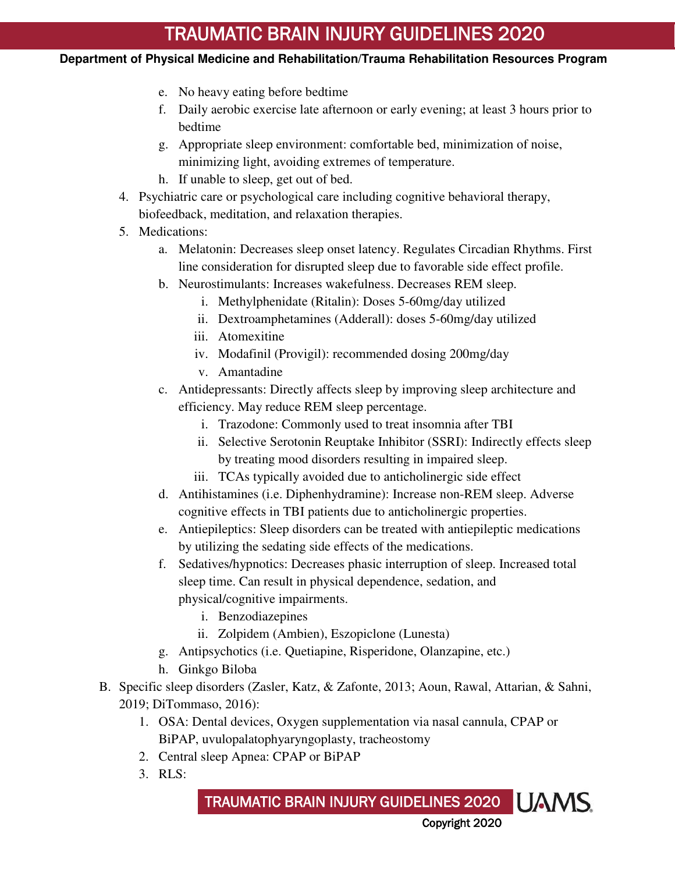- e. No heavy eating before bedtime
- f. Daily aerobic exercise late afternoon or early evening; at least 3 hours prior to bedtime
- g. Appropriate sleep environment: comfortable bed, minimization of noise, minimizing light, avoiding extremes of temperature.
- h. If unable to sleep, get out of bed.
- 4. Psychiatric care or psychological care including cognitive behavioral therapy, biofeedback, meditation, and relaxation therapies.
- 5. Medications:
	- a. Melatonin: Decreases sleep onset latency. Regulates Circadian Rhythms. First line consideration for disrupted sleep due to favorable side effect profile.
	- b. Neurostimulants: Increases wakefulness. Decreases REM sleep.
		- i. Methylphenidate (Ritalin): Doses 5-60mg/day utilized
		- ii. Dextroamphetamines (Adderall): doses 5-60mg/day utilized
		- iii. Atomexitine
		- iv. Modafinil (Provigil): recommended dosing 200mg/day
		- v. Amantadine
	- c. Antidepressants: Directly affects sleep by improving sleep architecture and efficiency. May reduce REM sleep percentage.
		- i. Trazodone: Commonly used to treat insomnia after TBI
		- ii. Selective Serotonin Reuptake Inhibitor (SSRI): Indirectly effects sleep by treating mood disorders resulting in impaired sleep.
		- iii. TCAs typically avoided due to anticholinergic side effect
	- d. Antihistamines (i.e. Diphenhydramine): Increase non-REM sleep. Adverse cognitive effects in TBI patients due to anticholinergic properties.
	- e. Antiepileptics: Sleep disorders can be treated with antiepileptic medications by utilizing the sedating side effects of the medications.
	- f. Sedatives/hypnotics: Decreases phasic interruption of sleep. Increased total sleep time. Can result in physical dependence, sedation, and physical/cognitive impairments.
		- i. Benzodiazepines
		- ii. Zolpidem (Ambien), Eszopiclone (Lunesta)
	- g. Antipsychotics (i.e. Quetiapine, Risperidone, Olanzapine, etc.)
	- h. Ginkgo Biloba
- B. Specific sleep disorders (Zasler, Katz, & Zafonte, 2013; Aoun, Rawal, Attarian, & Sahni, 2019; DiTommaso, 2016):
	- 1. OSA: Dental devices, Oxygen supplementation via nasal cannula, CPAP or BiPAP, uvulopalatophyaryngoplasty, tracheostomy
	- 2. Central sleep Apnea: CPAP or BiPAP
	- 3. RLS: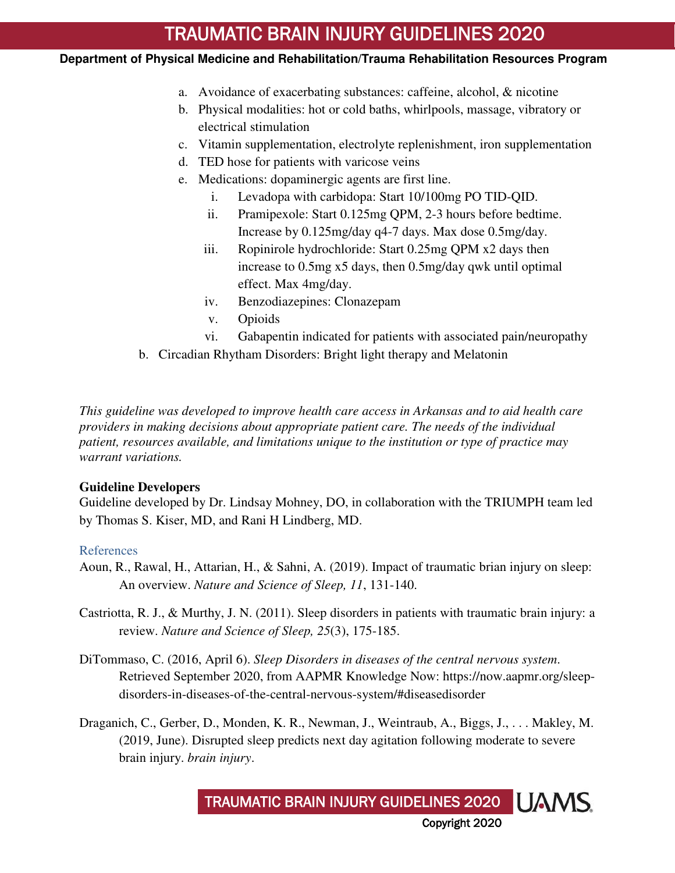### **Department of Physical Medicine and Rehabilitation/Trauma Rehabilitation Resources Program**

- a. Avoidance of exacerbating substances: caffeine, alcohol, & nicotine
- b. Physical modalities: hot or cold baths, whirlpools, massage, vibratory or electrical stimulation
- c. Vitamin supplementation, electrolyte replenishment, iron supplementation
- d. TED hose for patients with varicose veins
- e. Medications: dopaminergic agents are first line.
	- i. Levadopa with carbidopa: Start 10/100mg PO TID-QID.
	- ii. Pramipexole: Start 0.125mg QPM, 2-3 hours before bedtime. Increase by 0.125mg/day q4-7 days. Max dose 0.5mg/day.
	- iii. Ropinirole hydrochloride: Start 0.25mg QPM x2 days then increase to 0.5mg x5 days, then 0.5mg/day qwk until optimal effect. Max 4mg/day.
	- iv. Benzodiazepines: Clonazepam
	- v. Opioids
	- vi. Gabapentin indicated for patients with associated pain/neuropathy
- b. Circadian Rhytham Disorders: Bright light therapy and Melatonin

*This guideline was developed to improve health care access in Arkansas and to aid health care providers in making decisions about appropriate patient care. The needs of the individual patient, resources available, and limitations unique to the institution or type of practice may warrant variations.* 

### **Guideline Developers**

Guideline developed by Dr. Lindsay Mohney, DO, in collaboration with the TRIUMPH team led by Thomas S. Kiser, MD, and Rani H Lindberg, MD.

### References

- Aoun, R., Rawal, H., Attarian, H., & Sahni, A. (2019). Impact of traumatic brian injury on sleep: An overview. *Nature and Science of Sleep, 11*, 131-140.
- Castriotta, R. J., & Murthy, J. N. (2011). Sleep disorders in patients with traumatic brain injury: a review. *Nature and Science of Sleep, 25*(3), 175-185.
- DiTommaso, C. (2016, April 6). *Sleep Disorders in diseases of the central nervous system*. Retrieved September 2020, from AAPMR Knowledge Now: https://now.aapmr.org/sleepdisorders-in-diseases-of-the-central-nervous-system/#diseasedisorder
- Draganich, C., Gerber, D., Monden, K. R., Newman, J., Weintraub, A., Biggs, J., . . . Makley, M. (2019, June). Disrupted sleep predicts next day agitation following moderate to severe brain injury. *brain injury*.